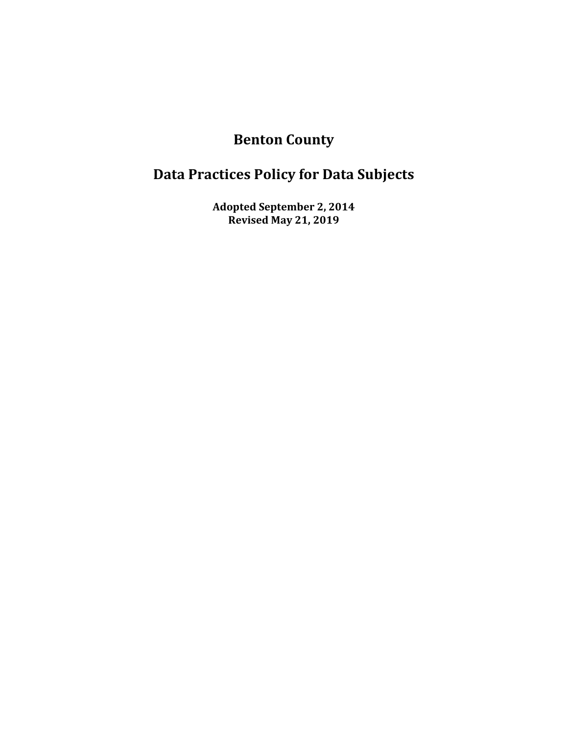# **Benton County**

# **Data Practices Policy for Data Subjects**

**Adopted September 2, 2014 Revised May 21, 2019**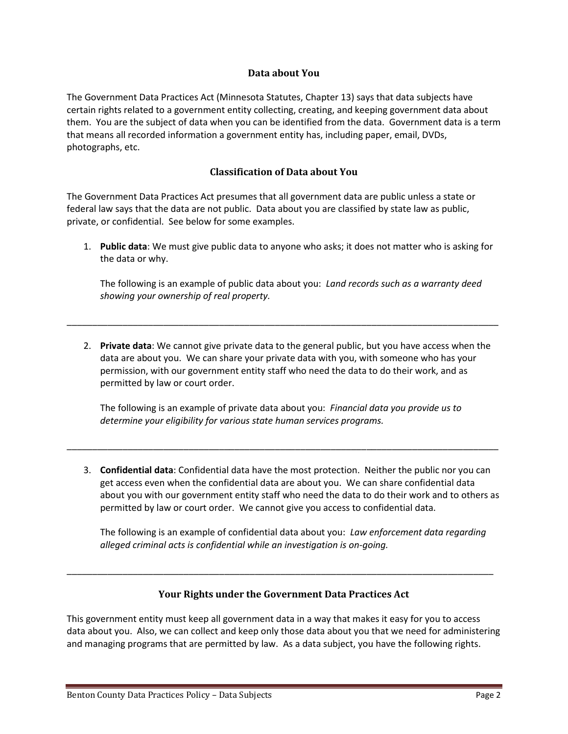#### **Data about You**

The Government Data Practices Act (Minnesota Statutes, Chapter 13) says that data subjects have certain rights related to a government entity collecting, creating, and keeping government data about them. You are the subject of data when you can be identified from the data. Government data is a term that means all recorded information a government entity has, including paper, email, DVDs, photographs, etc.

#### **Classification of Data about You**

The Government Data Practices Act presumes that all government data are public unless a state or federal law says that the data are not public. Data about you are classified by state law as public, private, or confidential. See below for some examples.

1. **Public data**: We must give public data to anyone who asks; it does not matter who is asking for the data or why.

The following is an example of public data about you: *Land records such as a warranty deed showing your ownership of real property.*

2. **Private data**: We cannot give private data to the general public, but you have access when the data are about you. We can share your private data with you, with someone who has your permission, with our government entity staff who need the data to do their work, and as permitted by law or court order.

\_\_\_\_\_\_\_\_\_\_\_\_\_\_\_\_\_\_\_\_\_\_\_\_\_\_\_\_\_\_\_\_\_\_\_\_\_\_\_\_\_\_\_\_\_\_\_\_\_\_\_\_\_\_\_\_\_\_\_\_\_\_\_\_\_\_\_\_\_\_\_\_\_\_\_\_\_\_\_\_\_\_\_\_\_

The following is an example of private data about you: *Financial data you provide us to determine your eligibility for various state human services programs.*

\_\_\_\_\_\_\_\_\_\_\_\_\_\_\_\_\_\_\_\_\_\_\_\_\_\_\_\_\_\_\_\_\_\_\_\_\_\_\_\_\_\_\_\_\_\_\_\_\_\_\_\_\_\_\_\_\_\_\_\_\_\_\_\_\_\_\_\_\_\_\_\_\_\_\_\_\_\_\_\_\_\_\_\_\_

3. **Confidential data**: Confidential data have the most protection. Neither the public nor you can get access even when the confidential data are about you. We can share confidential data about you with our government entity staff who need the data to do their work and to others as permitted by law or court order. We cannot give you access to confidential data.

The following is an example of confidential data about you: *Law enforcement data regarding alleged criminal acts is confidential while an investigation is on-going.*

## **Your Rights under the Government Data Practices Act**

\_\_\_\_\_\_\_\_\_\_\_\_\_\_\_\_\_\_\_\_\_\_\_\_\_\_\_\_\_\_\_\_\_\_\_\_\_\_\_\_\_\_\_\_\_\_\_\_\_\_\_\_\_\_\_\_\_\_\_\_\_\_\_\_\_\_\_\_\_\_\_\_\_\_\_\_\_\_\_\_\_\_\_\_

This government entity must keep all government data in a way that makes it easy for you to access data about you. Also, we can collect and keep only those data about you that we need for administering and managing programs that are permitted by law. As a data subject, you have the following rights.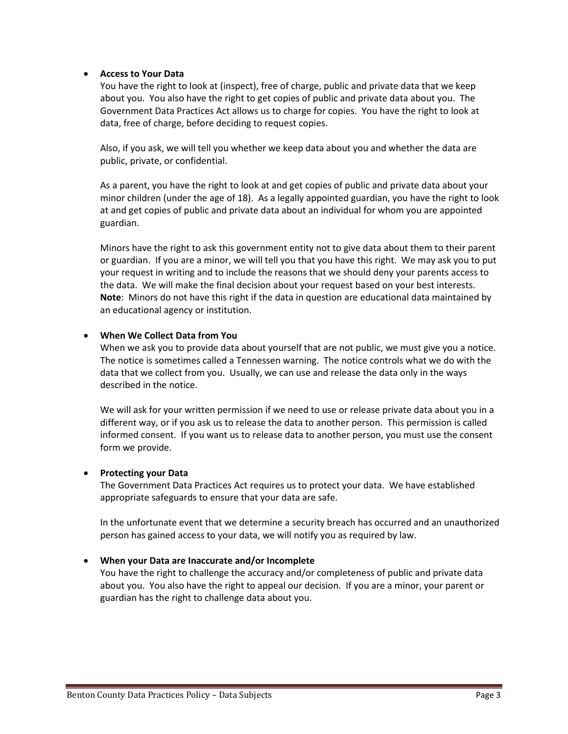#### **Access to Your Data**

You have the right to look at (inspect), free of charge, public and private data that we keep about you. You also have the right to get copies of public and private data about you. The Government Data Practices Act allows us to charge for copies. You have the right to look at data, free of charge, before deciding to request copies.

Also, if you ask, we will tell you whether we keep data about you and whether the data are public, private, or confidential.

As a parent, you have the right to look at and get copies of public and private data about your minor children (under the age of 18). As a legally appointed guardian, you have the right to look at and get copies of public and private data about an individual for whom you are appointed guardian.

Minors have the right to ask this government entity not to give data about them to their parent or guardian. If you are a minor, we will tell you that you have this right. We may ask you to put your request in writing and to include the reasons that we should deny your parents access to the data. We will make the final decision about your request based on your best interests. **Note**: Minors do not have this right if the data in question are educational data maintained by an educational agency or institution.

#### **When We Collect Data from You**

When we ask you to provide data about yourself that are not public, we must give you a notice. The notice is sometimes called a Tennessen warning. The notice controls what we do with the data that we collect from you. Usually, we can use and release the data only in the ways described in the notice.

We will ask for your written permission if we need to use or release private data about you in a different way, or if you ask us to release the data to another person. This permission is called informed consent. If you want us to release data to another person, you must use the consent form we provide.

#### **Protecting your Data**

The Government Data Practices Act requires us to protect your data. We have established appropriate safeguards to ensure that your data are safe.

In the unfortunate event that we determine a security breach has occurred and an unauthorized person has gained access to your data, we will notify you as required by law.

#### **When your Data are Inaccurate and/or Incomplete**

You have the right to challenge the accuracy and/or completeness of public and private data about you. You also have the right to appeal our decision. If you are a minor, your parent or guardian has the right to challenge data about you.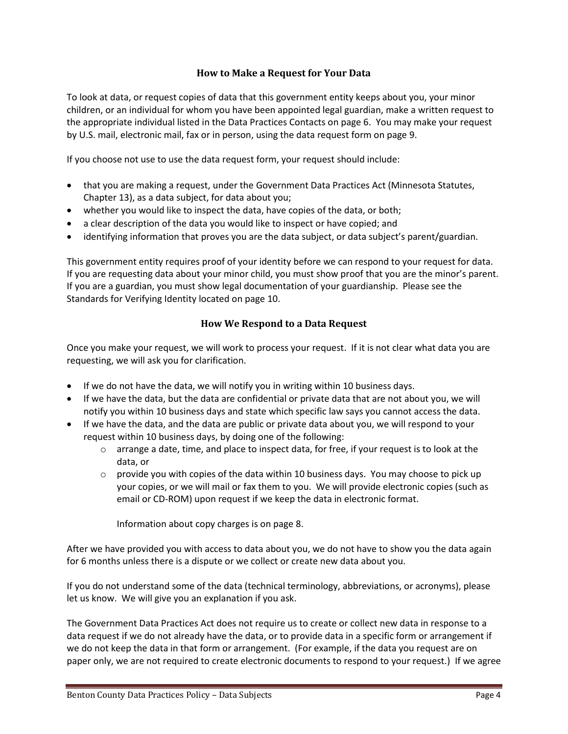## **How to Make a Request for Your Data**

To look at data, or request copies of data that this government entity keeps about you, your minor children, or an individual for whom you have been appointed legal guardian, make a written request to the appropriate individual listed in the Data Practices Contacts on page 6. You may make your request by U.S. mail, electronic mail, fax or in person, using the data request form on page 9.

If you choose not use to use the data request form, your request should include:

- that you are making a request, under the Government Data Practices Act (Minnesota Statutes, Chapter 13), as a data subject, for data about you;
- whether you would like to inspect the data, have copies of the data, or both;
- a clear description of the data you would like to inspect or have copied; and
- identifying information that proves you are the data subject, or data subject's parent/guardian.

This government entity requires proof of your identity before we can respond to your request for data. If you are requesting data about your minor child, you must show proof that you are the minor's parent. If you are a guardian, you must show legal documentation of your guardianship. Please see the Standards for Verifying Identity located on page 10.

## **How We Respond to a Data Request**

Once you make your request, we will work to process your request. If it is not clear what data you are requesting, we will ask you for clarification.

- If we do not have the data, we will notify you in writing within 10 business days.
- If we have the data, but the data are confidential or private data that are not about you, we will notify you within 10 business days and state which specific law says you cannot access the data.
- If we have the data, and the data are public or private data about you, we will respond to your request within 10 business days, by doing one of the following:
	- $\circ$  arrange a date, time, and place to inspect data, for free, if your request is to look at the data, or
	- $\circ$  provide you with copies of the data within 10 business days. You may choose to pick up your copies, or we will mail or fax them to you. We will provide electronic copies (such as email or CD-ROM) upon request if we keep the data in electronic format.

Information about copy charges is on page 8.

After we have provided you with access to data about you, we do not have to show you the data again for 6 months unless there is a dispute or we collect or create new data about you.

If you do not understand some of the data (technical terminology, abbreviations, or acronyms), please let us know. We will give you an explanation if you ask.

The Government Data Practices Act does not require us to create or collect new data in response to a data request if we do not already have the data, or to provide data in a specific form or arrangement if we do not keep the data in that form or arrangement. (For example, if the data you request are on paper only, we are not required to create electronic documents to respond to your request.) If we agree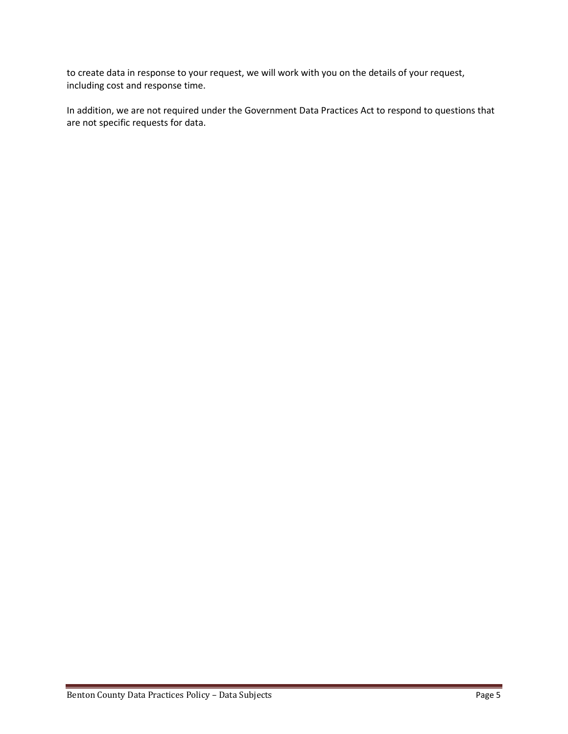to create data in response to your request, we will work with you on the details of your request, including cost and response time.

In addition, we are not required under the Government Data Practices Act to respond to questions that are not specific requests for data.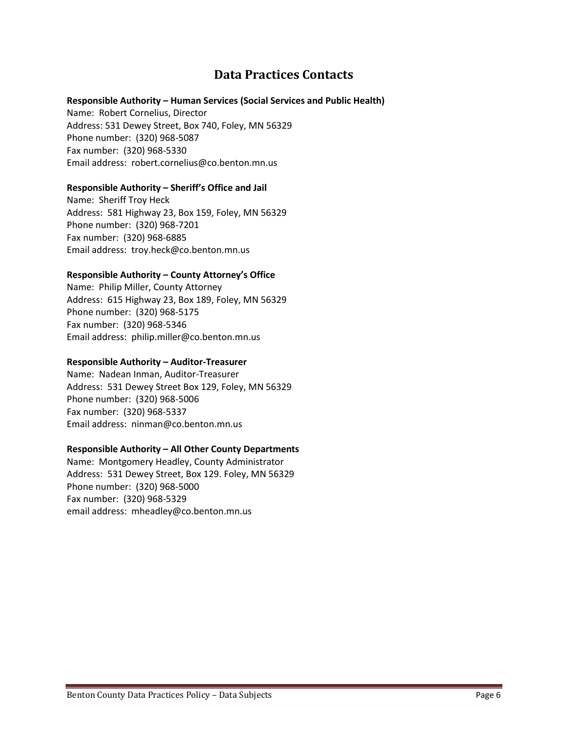# **Data Practices Contacts**

#### **Responsible Authority – Human Services (Social Services and Public Health)**

Name: Robert Cornelius, Director Address: 531 Dewey Street, Box 740, Foley, MN 56329 Phone number: (320) 968-5087 Fax number: (320) 968-5330 Email address: robert.cornelius@co.benton.mn.us

#### **Responsible Authority – Sheriff's Office and Jail**

Name: Sheriff Troy Heck Address: 581 Highway 23, Box 159, Foley, MN 56329 Phone number: (320) 968-7201 Fax number: (320) 968-6885 Email address: troy.heck@co.benton.mn.us

## **Responsible Authority – County Attorney's Office**

Name: Philip Miller, County Attorney Address: 615 Highway 23, Box 189, Foley, MN 56329 Phone number: (320) 968-5175 Fax number: (320) 968-5346 Email address: philip.miller@co.benton.mn.us

#### **Responsible Authority – Auditor-Treasurer**

Name: Nadean Inman, Auditor-Treasurer Address: 531 Dewey Street Box 129, Foley, MN 56329 Phone number: (320) 968-5006 Fax number: (320) 968-5337 Email address: ninman@co.benton.mn.us

#### **Responsible Authority – All Other County Departments**

Name: Montgomery Headley, County Administrator Address: 531 Dewey Street, Box 129. Foley, MN 56329 Phone number: (320) 968-5000 Fax number: (320) 968-5329 email address: mheadley@co.benton.mn.us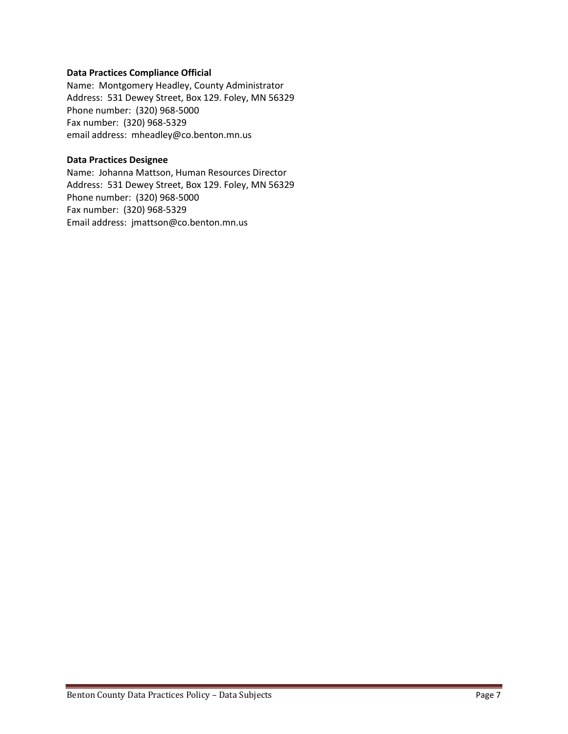#### **Data Practices Compliance Official**

Name: Montgomery Headley, County Administrator Address: 531 Dewey Street, Box 129. Foley, MN 56329 Phone number: (320) 968-5000 Fax number: (320) 968-5329 email address: mheadley@co.benton.mn.us

#### **Data Practices Designee**

Name: Johanna Mattson, Human Resources Director Address: 531 Dewey Street, Box 129. Foley, MN 56329 Phone number: (320) 968-5000 Fax number: (320) 968-5329 Email address: jmattson@co.benton.mn.us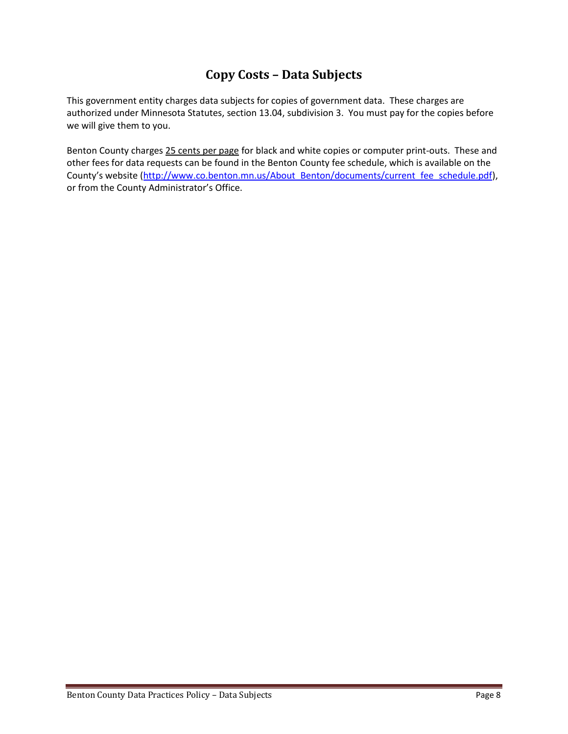# **Copy Costs – Data Subjects**

This government entity charges data subjects for copies of government data. These charges are authorized under Minnesota Statutes, section 13.04, subdivision 3. You must pay for the copies before we will give them to you.

Benton County charges 25 cents per page for black and white copies or computer print-outs. These and other fees for data requests can be found in the Benton County fee schedule, which is available on the County's website ([http://www.co.benton.mn.us/About\\_Benton/documents/current\\_fee\\_schedule.pdf\)](http://www.co.benton.mn.us/About_Benton/documents/current_fee_schedule.pdf), or from the County Administrator's Office.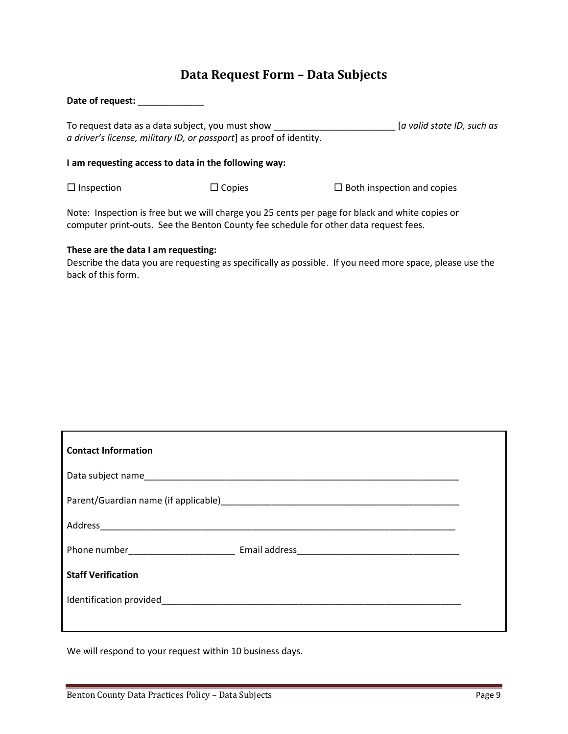# **Data Request Form – Data Subjects**

| Date of request:                                                                                                                                      |               |                                   |  |
|-------------------------------------------------------------------------------------------------------------------------------------------------------|---------------|-----------------------------------|--|
| [a valid state ID, such as<br>To request data as a data subject, you must show<br>a driver's license, military ID, or passport] as proof of identity. |               |                                   |  |
| I am requesting access to data in the following way:                                                                                                  |               |                                   |  |
| $\Box$ Inspection                                                                                                                                     | $\Box$ Copies | $\Box$ Both inspection and copies |  |

Note: Inspection is free but we will charge you 25 cents per page for black and white copies or computer print-outs. See the Benton County fee schedule for other data request fees.

## **These are the data I am requesting:**

Describe the data you are requesting as specifically as possible. If you need more space, please use the back of this form.

| <b>Contact Information</b> |  |  |  |  |
|----------------------------|--|--|--|--|
|                            |  |  |  |  |
|                            |  |  |  |  |
|                            |  |  |  |  |
|                            |  |  |  |  |
| <b>Staff Verification</b>  |  |  |  |  |
|                            |  |  |  |  |
|                            |  |  |  |  |

We will respond to your request within 10 business days.